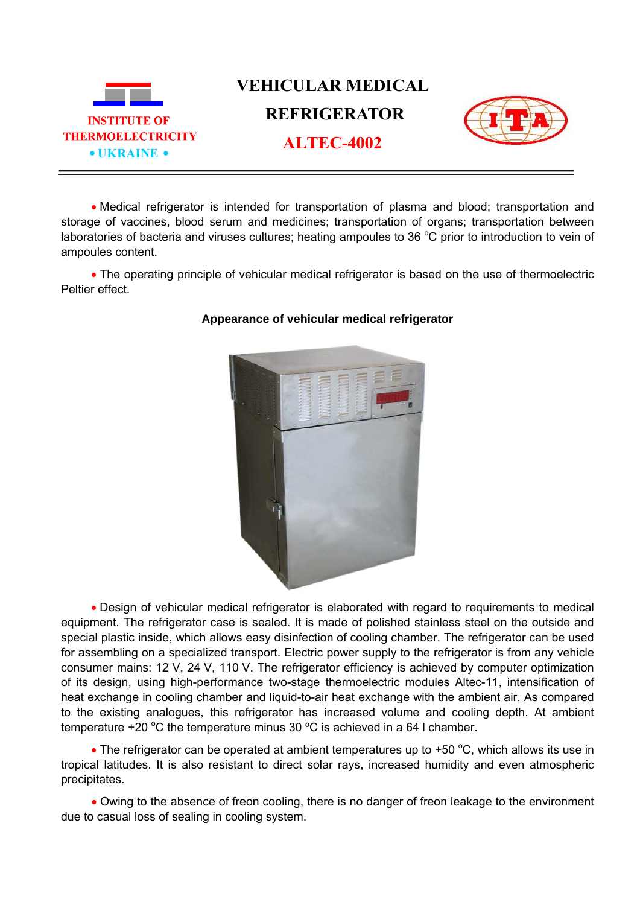

• Medical refrigerator is intended for transportation of plasma and blood; transportation and storage of vaccines, blood serum and medicines; transportation of organs; transportation between laboratories of bacteria and viruses cultures; heating ampoules to 36  $^{\circ}$ C prior to introduction to vein of ampoules content.

• The operating principle of vehicular medical refrigerator is based on the use of thermoelectric Peltier effect.



## **Appearance of vehicular medical refrigerator**

• Design of vehicular medical refrigerator is elaborated with regard to requirements to medical equipment. The refrigerator case is sealed. It is made of polished stainless steel on the outside and special plastic inside, which allows easy disinfection of cooling chamber. The refrigerator can be used for assembling on a specialized transport. Electric power supply to the refrigerator is from any vehicle consumer mains: 12 V, 24 V, 110 V. The refrigerator efficiency is achieved by computer optimization of its design, using high-performance two-stage thermoelectric modules Altec-11, intensification of heat exchange in cooling chamber and liquid-to-air heat exchange with the ambient air. As compared to the existing analogues, this refrigerator has increased volume and cooling depth. At ambient temperature +20 °C the temperature minus 30 °C is achieved in a 64 l chamber.

• The refrigerator can be operated at ambient temperatures up to +50  $^{\circ}$ C, which allows its use in tropical latitudes. It is also resistant to direct solar rays, increased humidity and even atmospheric precipitates.

• Owing to the absence of freon cooling, there is no danger of freon leakage to the environment due to casual loss of sealing in cooling system.